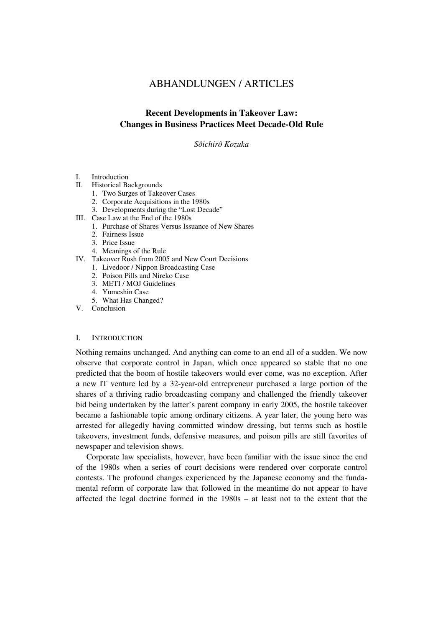# ABHANDLUNGEN / ARTICLES

# **Recent Developments in Takeover Law: Changes in Business Practices Meet Decade-Old Rule**

## *Sôichirô Kozuka*

## I. Introduction

- II. Historical Backgrounds
	- 1. Two Surges of Takeover Cases
	- 2. Corporate Acquisitions in the 1980s
	- 3. Developments during the "Lost Decade"
- III. Case Law at the End of the 1980s
	- 1. Purchase of Shares Versus Issuance of New Shares
	- 2. Fairness Issue
	- 3. Price Issue
	- 4. Meanings of the Rule
- IV. Takeover Rush from 2005 and New Court Decisions
	- 1. Livedoor / Nippon Broadcasting Case
	- 2. Poison Pills and Nireko Case
	- 3. METI / MOJ Guidelines
	- 4. Yumeshin Case
	- 5. What Has Changed?
- V. Conclusion

## I. INTRODUCTION

Nothing remains unchanged. And anything can come to an end all of a sudden. We now observe that corporate control in Japan, which once appeared so stable that no one predicted that the boom of hostile takeovers would ever come, was no exception. After a new IT venture led by a 32-year-old entrepreneur purchased a large portion of the shares of a thriving radio broadcasting company and challenged the friendly takeover bid being undertaken by the latter's parent company in early 2005, the hostile takeover became a fashionable topic among ordinary citizens. A year later, the young hero was arrested for allegedly having committed window dressing, but terms such as hostile takeovers, investment funds, defensive measures, and poison pills are still favorites of newspaper and television shows.

Corporate law specialists, however, have been familiar with the issue since the end of the 1980s when a series of court decisions were rendered over corporate control contests. The profound changes experienced by the Japanese economy and the fundamental reform of corporate law that followed in the meantime do not appear to have affected the legal doctrine formed in the 1980s – at least not to the extent that the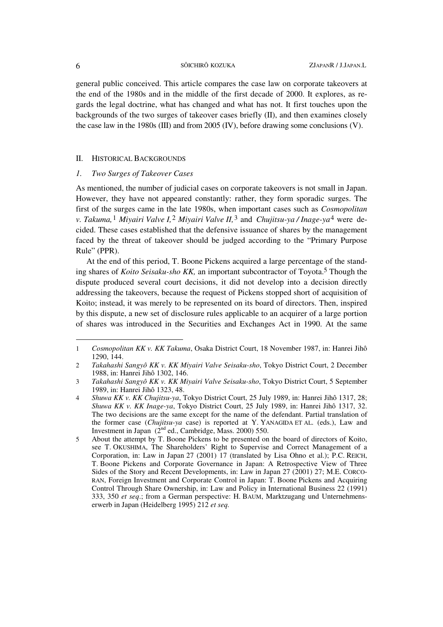general public conceived. This article compares the case law on corporate takeovers at the end of the 1980s and in the middle of the first decade of 2000. It explores, as regards the legal doctrine, what has changed and what has not. It first touches upon the backgrounds of the two surges of takeover cases briefly (II), and then examines closely the case law in the 1980s (III) and from 2005 (IV), before drawing some conclusions (V).

### II. HISTORICAL BACKGROUNDS

### *1. Two Surges of Takeover Cases*

As mentioned, the number of judicial cases on corporate takeovers is not small in Japan. However, they have not appeared constantly: rather, they form sporadic surges. The first of the surges came in the late 1980s, when important cases such as *Cosmopolitan v. Takuma,*1 *Miyairi Valve I,*2 *Miyairi Valve II,*3 and *Chujitsu-ya / Inage-ya*4 were decided. These cases established that the defensive issuance of shares by the management faced by the threat of takeover should be judged according to the "Primary Purpose Rule" (PPR).

At the end of this period, T. Boone Pickens acquired a large percentage of the standing shares of *Koito Seisaku-sho KK,* an important subcontractor of Toyota.5 Though the dispute produced several court decisions, it did not develop into a decision directly addressing the takeovers, because the request of Pickens stopped short of acquisition of Koito; instead, it was merely to be represented on its board of directors. Then, inspired by this dispute, a new set of disclosure rules applicable to an acquirer of a large portion of shares was introduced in the Securities and Exchanges Act in 1990. At the same

<sup>1</sup> *Cosmopolitan KK v. KK Takuma*, Osaka District Court, 18 November 1987, in: Hanrei Jihô 1290, 144.

<sup>2</sup> *Takahashi Sangyô KK v. KK Miyairi Valve Seisaku-sho*, Tokyo District Court, 2 December 1988, in: Hanrei Jihô 1302, 146.

<sup>3</sup> *Takahashi Sangyô KK v. KK Miyairi Valve Seisaku-sho*, Tokyo District Court, 5 September 1989, in: Hanrei Jihô 1323, 48.

<sup>4</sup> *Shuwa KK v. KK Chujitsu-ya*, Tokyo District Court, 25 July 1989, in: Hanrei Jihô 1317, 28; *Shuwa KK v. KK Inage-ya*, Tokyo District Court, 25 July 1989, in: Hanrei Jihô 1317, 32. The two decisions are the same except for the name of the defendant. Partial translation of the former case (*Chujitsu-ya* case) is reported at Y. YANAGIDA ET AL. (eds.), Law and Investment in Japan  $(2<sup>nd</sup>$  ed., Cambridge, Mass. 2000) 550.

<sup>5</sup> About the attempt by T. Boone Pickens to be presented on the board of directors of Koito, see T. OKUSHIMA, The Shareholders' Right to Supervise and Correct Management of a Corporation, in: Law in Japan 27 (2001) 17 (translated by Lisa Ohno et al.); P.C. REICH, T. Boone Pickens and Corporate Governance in Japan: A Retrospective View of Three Sides of the Story and Recent Developments, in: Law in Japan 27 (2001) 27; M.E. CORCO-RAN, Foreign Investment and Corporate Control in Japan: T. Boone Pickens and Acquiring Control Through Share Ownership, in: Law and Policy in International Business 22 (1991) 333, 350 *et seq*.; from a German perspective: H. BAUM, Marktzugang und Unternehmenserwerb in Japan (Heidelberg 1995) 212 *et seq.*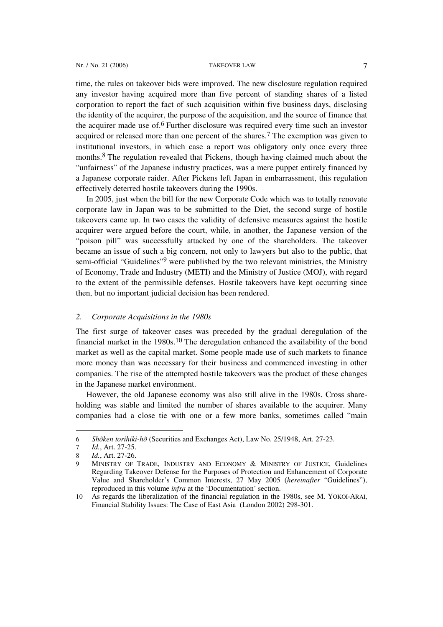time, the rules on takeover bids were improved. The new disclosure regulation required any investor having acquired more than five percent of standing shares of a listed corporation to report the fact of such acquisition within five business days, disclosing the identity of the acquirer, the purpose of the acquisition, and the source of finance that the acquirer made use of.6 Further disclosure was required every time such an investor acquired or released more than one percent of the shares.7 The exemption was given to institutional investors, in which case a report was obligatory only once every three months.8 The regulation revealed that Pickens, though having claimed much about the "unfairness" of the Japanese industry practices, was a mere puppet entirely financed by a Japanese corporate raider. After Pickens left Japan in embarrassment, this regulation effectively deterred hostile takeovers during the 1990s.

In 2005, just when the bill for the new Corporate Code which was to totally renovate corporate law in Japan was to be submitted to the Diet, the second surge of hostile takeovers came up. In two cases the validity of defensive measures against the hostile acquirer were argued before the court, while, in another, the Japanese version of the "poison pill" was successfully attacked by one of the shareholders. The takeover became an issue of such a big concern, not only to lawyers but also to the public, that semi-official "Guidelines"9 were published by the two relevant ministries, the Ministry of Economy, Trade and Industry (METI) and the Ministry of Justice (MOJ), with regard to the extent of the permissible defenses. Hostile takeovers have kept occurring since then, but no important judicial decision has been rendered.

### *2. Corporate Acquisitions in the 1980s*

The first surge of takeover cases was preceded by the gradual deregulation of the financial market in the  $1980s$ .<sup>10</sup> The deregulation enhanced the availability of the bond market as well as the capital market. Some people made use of such markets to finance more money than was necessary for their business and commenced investing in other companies. The rise of the attempted hostile takeovers was the product of these changes in the Japanese market environment.

However, the old Japanese economy was also still alive in the 1980s. Cross shareholding was stable and limited the number of shares available to the acquirer. Many companies had a close tie with one or a few more banks, sometimes called "main

<sup>6</sup> *Shôken torihiki-hô* (Securities and Exchanges Act), Law No. 25/1948, Art. 27-23.

<sup>7</sup> *Id.*, Art. 27-25.

<sup>8</sup> *Id.*, Art. 27-26.

MINISTRY OF TRADE, INDUSTRY AND ECONOMY & MINISTRY OF JUSTICE, Guidelines Regarding Takeover Defense for the Purposes of Protection and Enhancement of Corporate Value and Shareholder's Common Interests, 27 May 2005 (*hereinafter* "Guidelines"), reproduced in this volume *infra* at the 'Documentation' section.

<sup>10</sup> As regards the liberalization of the financial regulation in the 1980s, see M. YOKOI-ARAI, Financial Stability Issues: The Case of East Asia (London 2002) 298-301.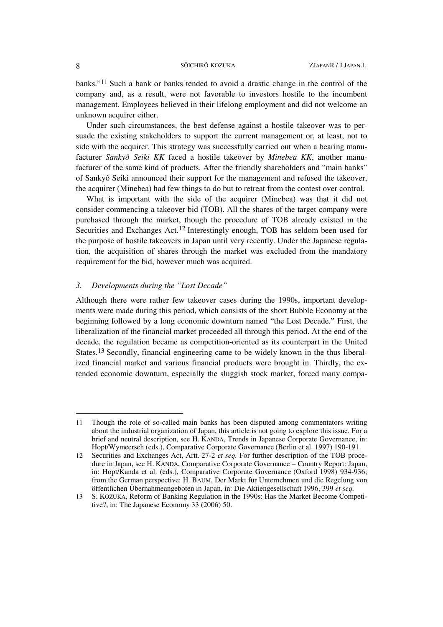banks."11 Such a bank or banks tended to avoid a drastic change in the control of the company and, as a result, were not favorable to investors hostile to the incumbent management. Employees believed in their lifelong employment and did not welcome an unknown acquirer either.

Under such circumstances, the best defense against a hostile takeover was to persuade the existing stakeholders to support the current management or, at least, not to side with the acquirer. This strategy was successfully carried out when a bearing manufacturer *Sankyô Seiki KK* faced a hostile takeover by *Minebea KK*, another manufacturer of the same kind of products. After the friendly shareholders and "main banks" of Sankyô Seiki announced their support for the management and refused the takeover, the acquirer (Minebea) had few things to do but to retreat from the contest over control.

What is important with the side of the acquirer (Minebea) was that it did not consider commencing a takeover bid (TOB). All the shares of the target company were purchased through the market, though the procedure of TOB already existed in the Securities and Exchanges Act.12 Interestingly enough, TOB has seldom been used for the purpose of hostile takeovers in Japan until very recently. Under the Japanese regulation, the acquisition of shares through the market was excluded from the mandatory requirement for the bid, however much was acquired.

# *3. Developments during the "Lost Decade"*

Although there were rather few takeover cases during the 1990s, important developments were made during this period, which consists of the short Bubble Economy at the beginning followed by a long economic downturn named "the Lost Decade." First, the liberalization of the financial market proceeded all through this period. At the end of the decade, the regulation became as competition-oriented as its counterpart in the United States.13 Secondly, financial engineering came to be widely known in the thus liberalized financial market and various financial products were brought in. Thirdly, the extended economic downturn, especially the sluggish stock market, forced many compa-

<sup>11</sup> Though the role of so-called main banks has been disputed among commentators writing about the industrial organization of Japan, this article is not going to explore this issue. For a brief and neutral description, see H. KANDA, Trends in Japanese Corporate Governance, in: Hopt/Wymeersch (eds.), Comparative Corporate Governance (Berlin et al. 1997) 190-191.

<sup>12</sup> Securities and Exchanges Act, Artt. 27-2 *et seq.* For further description of the TOB procedure in Japan, see H. KANDA, Comparative Corporate Governance – Country Report: Japan, in: Hopt/Kanda et al. (eds.), Comparative Corporate Governance (Oxford 1998) 934-936; from the German perspective: H. BAUM, Der Markt für Unternehmen und die Regelung von öffentlichen Übernahmeangeboten in Japan, in: Die Aktiengesellschaft 1996, 399 *et seq.*

<sup>13</sup> S. KOZUKA, Reform of Banking Regulation in the 1990s: Has the Market Become Competitive?, in: The Japanese Economy 33 (2006) 50.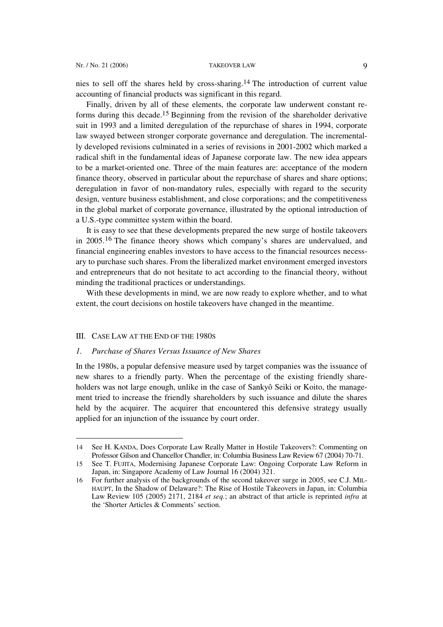nies to sell off the shares held by cross-sharing.14 The introduction of current value accounting of financial products was significant in this regard.

Finally, driven by all of these elements, the corporate law underwent constant reforms during this decade.<sup>15</sup> Beginning from the revision of the shareholder derivative suit in 1993 and a limited deregulation of the repurchase of shares in 1994, corporate law swayed between stronger corporate governance and deregulation. The incrementally developed revisions culminated in a series of revisions in 2001-2002 which marked a radical shift in the fundamental ideas of Japanese corporate law. The new idea appears to be a market-oriented one. Three of the main features are: acceptance of the modern finance theory, observed in particular about the repurchase of shares and share options; deregulation in favor of non-mandatory rules, especially with regard to the security design, venture business establishment, and close corporations; and the competitiveness in the global market of corporate governance, illustrated by the optional introduction of a U.S.-type committee system within the board.

It is easy to see that these developments prepared the new surge of hostile takeovers in 2005.16 The finance theory shows which company's shares are undervalued, and financial engineering enables investors to have access to the financial resources necessary to purchase such shares. From the liberalized market environment emerged investors and entrepreneurs that do not hesitate to act according to the financial theory, without minding the traditional practices or understandings.

With these developments in mind, we are now ready to explore whether, and to what extent, the court decisions on hostile takeovers have changed in the meantime.

### III. CASE LAW AT THE END OF THE 1980S

l

## *1. Purchase of Shares Versus Issuance of New Shares*

In the 1980s, a popular defensive measure used by target companies was the issuance of new shares to a friendly party. When the percentage of the existing friendly shareholders was not large enough, unlike in the case of Sankyô Seiki or Koito, the management tried to increase the friendly shareholders by such issuance and dilute the shares held by the acquirer. The acquirer that encountered this defensive strategy usually applied for an injunction of the issuance by court order.

<sup>14</sup> See H. KANDA, Does Corporate Law Really Matter in Hostile Takeovers?: Commenting on Professor Gilson and Chancellor Chandler, in: Columbia Business Law Review 67 (2004) 70-71.

<sup>15</sup> See T. FUJITA, Modernising Japanese Corporate Law: Ongoing Corporate Law Reform in Japan, in: Singapore Academy of Law Journal 16 (2004) 321.

<sup>16</sup> For further analysis of the backgrounds of the second takeover surge in 2005, see C.J. MIL-HAUPT, In the Shadow of Delaware?: The Rise of Hostile Takeovers in Japan, in: Columbia Law Review 105 (2005) 2171, 2184 *et seq.*; an abstract of that article is reprinted *infra* at the 'Shorter Articles & Comments' section.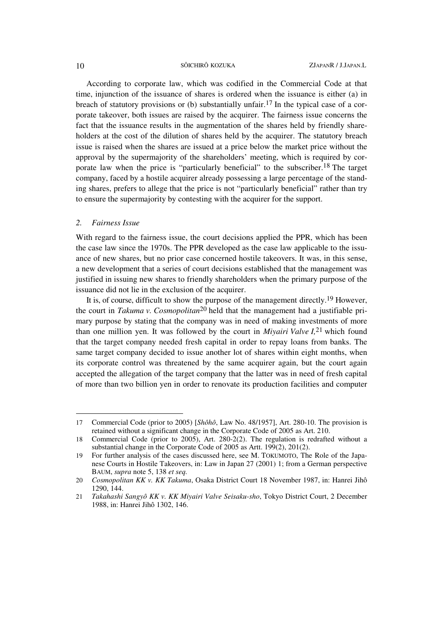According to corporate law, which was codified in the Commercial Code at that time, injunction of the issuance of shares is ordered when the issuance is either (a) in breach of statutory provisions or (b) substantially unfair.<sup>17</sup> In the typical case of a corporate takeover, both issues are raised by the acquirer. The fairness issue concerns the fact that the issuance results in the augmentation of the shares held by friendly shareholders at the cost of the dilution of shares held by the acquirer. The statutory breach issue is raised when the shares are issued at a price below the market price without the approval by the supermajority of the shareholders' meeting, which is required by corporate law when the price is "particularly beneficial" to the subscriber.18 The target company, faced by a hostile acquirer already possessing a large percentage of the standing shares, prefers to allege that the price is not "particularly beneficial" rather than try to ensure the supermajority by contesting with the acquirer for the support.

### *2. Fairness Issue*

l

With regard to the fairness issue, the court decisions applied the PPR, which has been the case law since the 1970s. The PPR developed as the case law applicable to the issuance of new shares, but no prior case concerned hostile takeovers. It was, in this sense, a new development that a series of court decisions established that the management was justified in issuing new shares to friendly shareholders when the primary purpose of the issuance did not lie in the exclusion of the acquirer.

It is, of course, difficult to show the purpose of the management directly.19 However, the court in *Takuma v. Cosmopolitan*20 held that the management had a justifiable primary purpose by stating that the company was in need of making investments of more than one million yen. It was followed by the court in *Miyairi Valve I,*21 which found that the target company needed fresh capital in order to repay loans from banks. The same target company decided to issue another lot of shares within eight months, when its corporate control was threatened by the same acquirer again, but the court again accepted the allegation of the target company that the latter was in need of fresh capital of more than two billion yen in order to renovate its production facilities and computer

<sup>17</sup> Commercial Code (prior to 2005) [*Shôhô*, Law No. 48/1957], Art. 280-10. The provision is retained without a significant change in the Corporate Code of 2005 as Art. 210.

<sup>18</sup> Commercial Code (prior to 2005), Art. 280-2(2). The regulation is redrafted without a substantial change in the Corporate Code of 2005 as Artt. 199(2), 201(2).

<sup>19</sup> For further analysis of the cases discussed here, see M. TOKUMOTO, The Role of the Japanese Courts in Hostile Takeovers, in: Law in Japan 27 (2001) 1; from a German perspective BAUM, *supra* note 5, 138 *et seq.*

<sup>20</sup> *Cosmopolitan KK v. KK Takuma*, Osaka District Court 18 November 1987, in: Hanrei Jihô 1290, 144.

<sup>21</sup> *Takahashi Sangyô KK v. KK Miyairi Valve Seisaku-sho*, Tokyo District Court, 2 December 1988, in: Hanrei Jihô 1302, 146.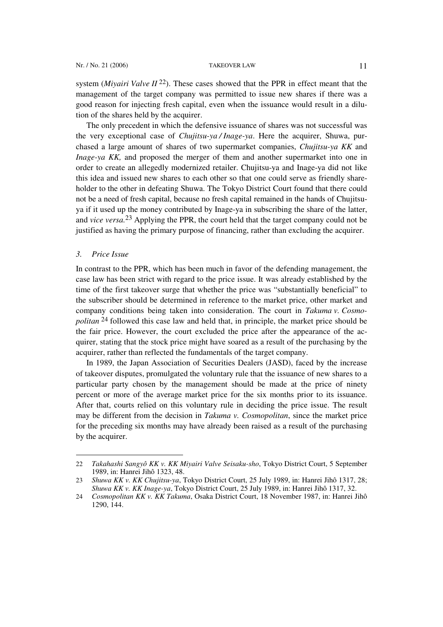system (*Miyairi Valve II* 22). These cases showed that the PPR in effect meant that the management of the target company was permitted to issue new shares if there was a good reason for injecting fresh capital, even when the issuance would result in a dilution of the shares held by the acquirer.

The only precedent in which the defensive issuance of shares was not successful was the very exceptional case of *Chujitsu-ya / Inage-ya*. Here the acquirer, Shuwa, purchased a large amount of shares of two supermarket companies, *Chujitsu-ya KK* and *Inage-ya KK,* and proposed the merger of them and another supermarket into one in order to create an allegedly modernized retailer. Chujitsu-ya and Inage-ya did not like this idea and issued new shares to each other so that one could serve as friendly shareholder to the other in defeating Shuwa. The Tokyo District Court found that there could not be a need of fresh capital, because no fresh capital remained in the hands of Chujitsuya if it used up the money contributed by Inage-ya in subscribing the share of the latter, and *vice versa.*23 Applying the PPR, the court held that the target company could not be justified as having the primary purpose of financing, rather than excluding the acquirer.

### *3. Price Issue*

 $\overline{a}$ 

In contrast to the PPR, which has been much in favor of the defending management, the case law has been strict with regard to the price issue. It was already established by the time of the first takeover surge that whether the price was "substantially beneficial" to the subscriber should be determined in reference to the market price, other market and company conditions being taken into consideration. The court in *Takuma v. Cosmopolitan* 24 followed this case law and held that, in principle, the market price should be the fair price. However, the court excluded the price after the appearance of the acquirer, stating that the stock price might have soared as a result of the purchasing by the acquirer, rather than reflected the fundamentals of the target company.

In 1989, the Japan Association of Securities Dealers (JASD), faced by the increase of takeover disputes, promulgated the voluntary rule that the issuance of new shares to a particular party chosen by the management should be made at the price of ninety percent or more of the average market price for the six months prior to its issuance. After that, courts relied on this voluntary rule in deciding the price issue. The result may be different from the decision in *Takuma v. Cosmopolitan*, since the market price for the preceding six months may have already been raised as a result of the purchasing by the acquirer.

<sup>22</sup> *Takahashi Sangyô KK v. KK Miyairi Valve Seisaku-sho*, Tokyo District Court, 5 September 1989, in: Hanrei Jihô 1323, 48.

<sup>23</sup> *Shuwa KK v. KK Chujitsu-ya*, Tokyo District Court, 25 July 1989, in: Hanrei Jihô 1317, 28; *Shuwa KK v. KK Inage-ya*, Tokyo District Court, 25 July 1989, in: Hanrei Jihô 1317, 32.

<sup>24</sup> *Cosmopolitan KK v. KK Takuma*, Osaka District Court, 18 November 1987, in: Hanrei Jihô 1290, 144.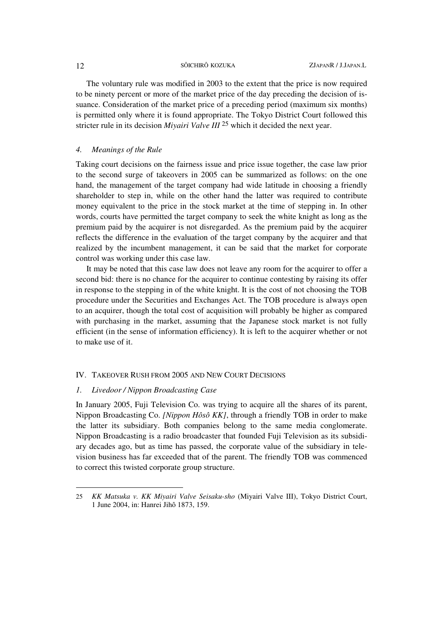The voluntary rule was modified in 2003 to the extent that the price is now required to be ninety percent or more of the market price of the day preceding the decision of issuance. Consideration of the market price of a preceding period (maximum six months) is permitted only where it is found appropriate. The Tokyo District Court followed this stricter rule in its decision *Miyairi Valve III* 25 which it decided the next year.

## *4. Meanings of the Rule*

Taking court decisions on the fairness issue and price issue together, the case law prior to the second surge of takeovers in 2005 can be summarized as follows: on the one hand, the management of the target company had wide latitude in choosing a friendly shareholder to step in, while on the other hand the latter was required to contribute money equivalent to the price in the stock market at the time of stepping in. In other words, courts have permitted the target company to seek the white knight as long as the premium paid by the acquirer is not disregarded. As the premium paid by the acquirer reflects the difference in the evaluation of the target company by the acquirer and that realized by the incumbent management, it can be said that the market for corporate control was working under this case law.

It may be noted that this case law does not leave any room for the acquirer to offer a second bid: there is no chance for the acquirer to continue contesting by raising its offer in response to the stepping in of the white knight. It is the cost of not choosing the TOB procedure under the Securities and Exchanges Act. The TOB procedure is always open to an acquirer, though the total cost of acquisition will probably be higher as compared with purchasing in the market, assuming that the Japanese stock market is not fully efficient (in the sense of information efficiency). It is left to the acquirer whether or not to make use of it.

### IV. TAKEOVER RUSH FROM 2005 AND NEW COURT DECISIONS

## *1. Livedoor / Nippon Broadcasting Case*

In January 2005, Fuji Television Co. was trying to acquire all the shares of its parent, Nippon Broadcasting Co. *[Nippon Hôsô KK]*, through a friendly TOB in order to make the latter its subsidiary. Both companies belong to the same media conglomerate. Nippon Broadcasting is a radio broadcaster that founded Fuji Television as its subsidiary decades ago, but as time has passed, the corporate value of the subsidiary in television business has far exceeded that of the parent. The friendly TOB was commenced to correct this twisted corporate group structure.

<sup>25</sup> *KK Matsuka v. KK Miyairi Valve Seisaku-sho* (Miyairi Valve III), Tokyo District Court, 1 June 2004, in: Hanrei Jihô 1873, 159.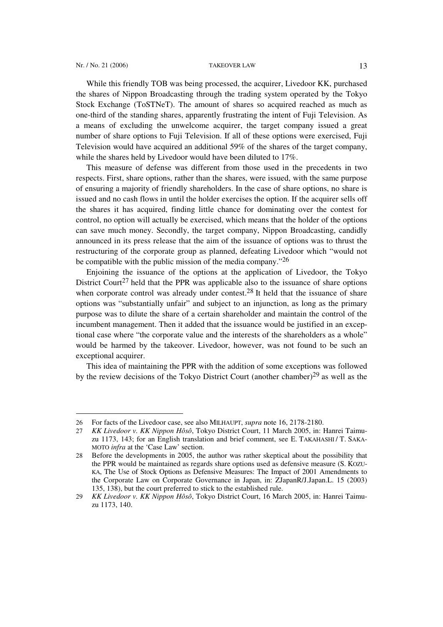### Nr. / No. 21 (2006) TAKEOVER LAW 13

l

While this friendly TOB was being processed, the acquirer, Livedoor KK, purchased the shares of Nippon Broadcasting through the trading system operated by the Tokyo Stock Exchange (ToSTNeT). The amount of shares so acquired reached as much as one-third of the standing shares, apparently frustrating the intent of Fuji Television. As a means of excluding the unwelcome acquirer, the target company issued a great number of share options to Fuji Television. If all of these options were exercised, Fuji Television would have acquired an additional 59% of the shares of the target company, while the shares held by Livedoor would have been diluted to 17%.

This measure of defense was different from those used in the precedents in two respects. First, share options, rather than the shares, were issued, with the same purpose of ensuring a majority of friendly shareholders. In the case of share options, no share is issued and no cash flows in until the holder exercises the option. If the acquirer sells off the shares it has acquired, finding little chance for dominating over the contest for control, no option will actually be exercised, which means that the holder of the options can save much money. Secondly, the target company, Nippon Broadcasting, candidly announced in its press release that the aim of the issuance of options was to thrust the restructuring of the corporate group as planned, defeating Livedoor which "would not be compatible with the public mission of the media company."26

Enjoining the issuance of the options at the application of Livedoor, the Tokyo District Court<sup>27</sup> held that the PPR was applicable also to the issuance of share options when corporate control was already under contest.<sup>28</sup> It held that the issuance of share options was "substantially unfair" and subject to an injunction, as long as the primary purpose was to dilute the share of a certain shareholder and maintain the control of the incumbent management. Then it added that the issuance would be justified in an exceptional case where "the corporate value and the interests of the shareholders as a whole" would be harmed by the takeover. Livedoor, however, was not found to be such an exceptional acquirer.

This idea of maintaining the PPR with the addition of some exceptions was followed by the review decisions of the Tokyo District Court (another chamber)29 as well as the

<sup>26</sup> For facts of the Livedoor case, see also MILHAUPT, *supra* note 16, 2178-2180.

<sup>27</sup> *KK Livedoor v. KK Nippon Hôsô*, Tokyo District Court, 11 March 2005, in: Hanrei Taimuzu 1173, 143; for an English translation and brief comment, see E. TAKAHASHI / T. SAKA-MOTO *infra* at the 'Case Law' section.

<sup>28</sup> Before the developments in 2005, the author was rather skeptical about the possibility that the PPR would be maintained as regards share options used as defensive measure (S. KOZU-KA, The Use of Stock Options as Defensive Measures: The Impact of 2001 Amendments to the Corporate Law on Corporate Governance in Japan, in: ZJapanR/J.Japan.L. 15 (2003) 135, 138), but the court preferred to stick to the established rule.

<sup>29</sup> *KK Livedoor v. KK Nippon Hôsô*, Tokyo District Court, 16 March 2005, in: Hanrei Taimuzu 1173, 140.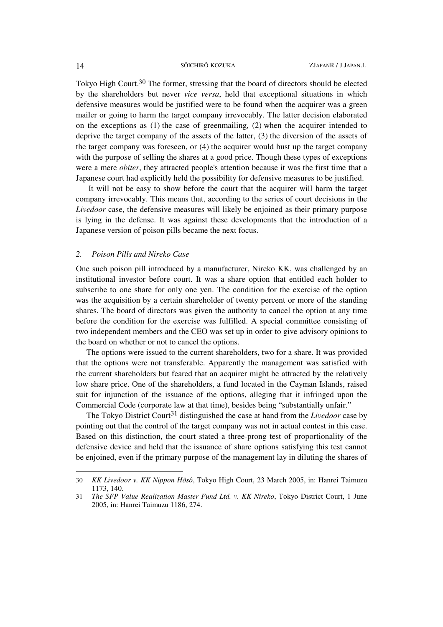Tokyo High Court.30 The former, stressing that the board of directors should be elected by the shareholders but never *vice versa*, held that exceptional situations in which defensive measures would be justified were to be found when the acquirer was a green mailer or going to harm the target company irrevocably. The latter decision elaborated on the exceptions as (1) the case of greenmailing, (2) when the acquirer intended to deprive the target company of the assets of the latter, (3) the diversion of the assets of the target company was foreseen, or (4) the acquirer would bust up the target company with the purpose of selling the shares at a good price. Though these types of exceptions were a mere *obiter*, they attracted people's attention because it was the first time that a Japanese court had explicitly held the possibility for defensive measures to be justified.

 It will not be easy to show before the court that the acquirer will harm the target company irrevocably. This means that, according to the series of court decisions in the *Livedoor* case, the defensive measures will likely be enjoined as their primary purpose is lying in the defense. It was against these developments that the introduction of a Japanese version of poison pills became the next focus.

### *2. Poison Pills and Nireko Case*

One such poison pill introduced by a manufacturer, Nireko KK, was challenged by an institutional investor before court. It was a share option that entitled each holder to subscribe to one share for only one yen. The condition for the exercise of the option was the acquisition by a certain shareholder of twenty percent or more of the standing shares. The board of directors was given the authority to cancel the option at any time before the condition for the exercise was fulfilled. A special committee consisting of two independent members and the CEO was set up in order to give advisory opinions to the board on whether or not to cancel the options.

The options were issued to the current shareholders, two for a share. It was provided that the options were not transferable. Apparently the management was satisfied with the current shareholders but feared that an acquirer might be attracted by the relatively low share price. One of the shareholders, a fund located in the Cayman Islands, raised suit for injunction of the issuance of the options, alleging that it infringed upon the Commercial Code (corporate law at that time), besides being "substantially unfair."

The Tokyo District Court<sup>31</sup> distinguished the case at hand from the *Livedoor* case by pointing out that the control of the target company was not in actual contest in this case. Based on this distinction, the court stated a three-prong test of proportionality of the defensive device and held that the issuance of share options satisfying this test cannot be enjoined, even if the primary purpose of the management lay in diluting the shares of

 $\overline{a}$ 

<sup>30</sup> *KK Livedoor v. KK Nippon Hôsô*, Tokyo High Court, 23 March 2005, in: Hanrei Taimuzu 1173, 140.

<sup>31</sup> *The SFP Value Realization Master Fund Ltd. v. KK Nireko*, Tokyo District Court, 1 June 2005, in: Hanrei Taimuzu 1186, 274.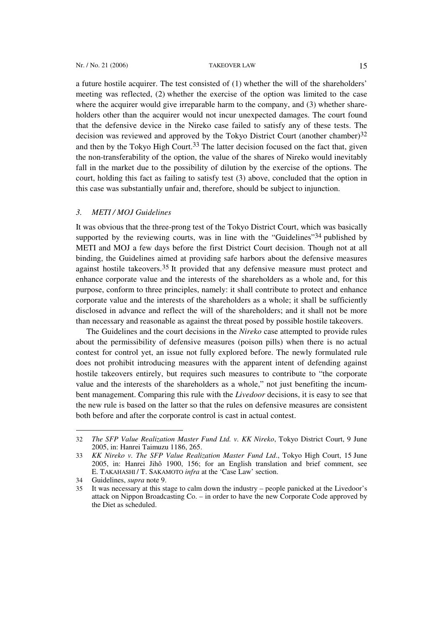a future hostile acquirer. The test consisted of (1) whether the will of the shareholders' meeting was reflected, (2) whether the exercise of the option was limited to the case where the acquirer would give irreparable harm to the company, and (3) whether shareholders other than the acquirer would not incur unexpected damages. The court found that the defensive device in the Nireko case failed to satisfy any of these tests. The decision was reviewed and approved by the Tokyo District Court (another chamber)<sup>32</sup> and then by the Tokyo High Court.<sup>33</sup> The latter decision focused on the fact that, given the non-transferability of the option, the value of the shares of Nireko would inevitably fall in the market due to the possibility of dilution by the exercise of the options. The court, holding this fact as failing to satisfy test (3) above, concluded that the option in this case was substantially unfair and, therefore, should be subject to injunction.

## *3. METI / MOJ Guidelines*

It was obvious that the three-prong test of the Tokyo District Court, which was basically supported by the reviewing courts, was in line with the "Guidelines"<sup>34</sup> published by METI and MOJ a few days before the first District Court decision. Though not at all binding, the Guidelines aimed at providing safe harbors about the defensive measures against hostile takeovers.35 It provided that any defensive measure must protect and enhance corporate value and the interests of the shareholders as a whole and, for this purpose, conform to three principles, namely: it shall contribute to protect and enhance corporate value and the interests of the shareholders as a whole; it shall be sufficiently disclosed in advance and reflect the will of the shareholders; and it shall not be more than necessary and reasonable as against the threat posed by possible hostile takeovers.

The Guidelines and the court decisions in the *Nireko* case attempted to provide rules about the permissibility of defensive measures (poison pills) when there is no actual contest for control yet, an issue not fully explored before. The newly formulated rule does not prohibit introducing measures with the apparent intent of defending against hostile takeovers entirely, but requires such measures to contribute to "the corporate value and the interests of the shareholders as a whole," not just benefiting the incumbent management. Comparing this rule with the *Livedoor* decisions, it is easy to see that the new rule is based on the latter so that the rules on defensive measures are consistent both before and after the corporate control is cast in actual contest.

<sup>32</sup> *The SFP Value Realization Master Fund Ltd. v. KK Nireko*, Tokyo District Court, 9 June 2005, in: Hanrei Taimuzu 1186, 265.

<sup>33</sup> *KK Nireko v. The SFP Value Realization Master Fund Ltd*., Tokyo High Court, 15 June 2005, in: Hanrei Jihô 1900, 156; for an English translation and brief comment, see E. TAKAHASHI / T. SAKAMOTO *infra* at the 'Case Law' section.

<sup>34</sup> Guidelines, *supra* note 9.

It was necessary at this stage to calm down the industry – people panicked at the Livedoor's attack on Nippon Broadcasting Co. – in order to have the new Corporate Code approved by the Diet as scheduled.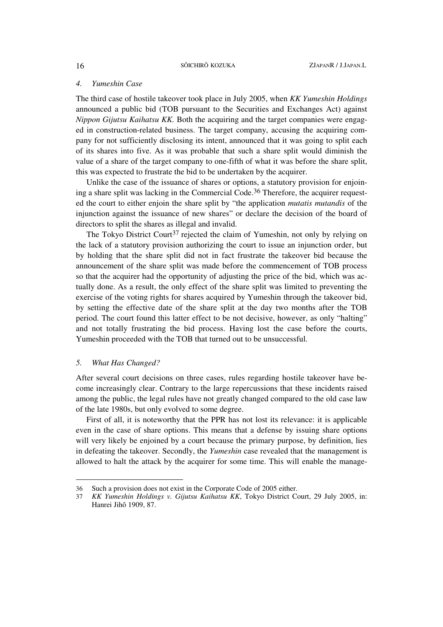### *4. Yumeshin Case*

The third case of hostile takeover took place in July 2005, when *KK Yumeshin Holdings* announced a public bid (TOB pursuant to the Securities and Exchanges Act) against *Nippon Gijutsu Kaihatsu KK.* Both the acquiring and the target companies were engaged in construction-related business. The target company, accusing the acquiring company for not sufficiently disclosing its intent, announced that it was going to split each of its shares into five. As it was probable that such a share split would diminish the value of a share of the target company to one-fifth of what it was before the share split, this was expected to frustrate the bid to be undertaken by the acquirer.

Unlike the case of the issuance of shares or options, a statutory provision for enjoining a share split was lacking in the Commercial Code.<sup>36</sup> Therefore, the acquirer requested the court to either enjoin the share split by "the application *mutatis mutandis* of the injunction against the issuance of new shares" or declare the decision of the board of directors to split the shares as illegal and invalid.

The Tokyo District Court<sup>37</sup> rejected the claim of Yumeshin, not only by relying on the lack of a statutory provision authorizing the court to issue an injunction order, but by holding that the share split did not in fact frustrate the takeover bid because the announcement of the share split was made before the commencement of TOB process so that the acquirer had the opportunity of adjusting the price of the bid, which was actually done. As a result, the only effect of the share split was limited to preventing the exercise of the voting rights for shares acquired by Yumeshin through the takeover bid, by setting the effective date of the share split at the day two months after the TOB period. The court found this latter effect to be not decisive, however, as only "halting" and not totally frustrating the bid process. Having lost the case before the courts, Yumeshin proceeded with the TOB that turned out to be unsuccessful.

### *5. What Has Changed?*

l

After several court decisions on three cases, rules regarding hostile takeover have become increasingly clear. Contrary to the large repercussions that these incidents raised among the public, the legal rules have not greatly changed compared to the old case law of the late 1980s, but only evolved to some degree.

First of all, it is noteworthy that the PPR has not lost its relevance: it is applicable even in the case of share options. This means that a defense by issuing share options will very likely be enjoined by a court because the primary purpose, by definition, lies in defeating the takeover. Secondly, the *Yumeshin* case revealed that the management is allowed to halt the attack by the acquirer for some time. This will enable the manage-

<sup>36</sup> Such a provision does not exist in the Corporate Code of 2005 either.

<sup>37</sup> *KK Yumeshin Holdings v. Gijutsu Kaihatsu KK*, Tokyo District Court, 29 July 2005, in: Hanrei Jihô 1909, 87.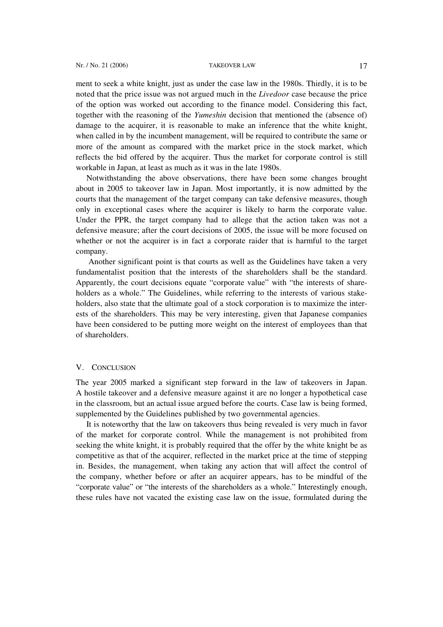ment to seek a white knight, just as under the case law in the 1980s. Thirdly, it is to be noted that the price issue was not argued much in the *Livedoor* case because the price of the option was worked out according to the finance model. Considering this fact, together with the reasoning of the *Yumeshin* decision that mentioned the (absence of) damage to the acquirer, it is reasonable to make an inference that the white knight, when called in by the incumbent management, will be required to contribute the same or more of the amount as compared with the market price in the stock market, which reflects the bid offered by the acquirer. Thus the market for corporate control is still workable in Japan, at least as much as it was in the late 1980s.

Notwithstanding the above observations, there have been some changes brought about in 2005 to takeover law in Japan. Most importantly, it is now admitted by the courts that the management of the target company can take defensive measures, though only in exceptional cases where the acquirer is likely to harm the corporate value. Under the PPR, the target company had to allege that the action taken was not a defensive measure; after the court decisions of 2005, the issue will be more focused on whether or not the acquirer is in fact a corporate raider that is harmful to the target company.

 Another significant point is that courts as well as the Guidelines have taken a very fundamentalist position that the interests of the shareholders shall be the standard. Apparently, the court decisions equate "corporate value" with "the interests of shareholders as a whole." The Guidelines, while referring to the interests of various stakeholders, also state that the ultimate goal of a stock corporation is to maximize the interests of the shareholders. This may be very interesting, given that Japanese companies have been considered to be putting more weight on the interest of employees than that of shareholders.

### V. CONCLUSION

The year 2005 marked a significant step forward in the law of takeovers in Japan. A hostile takeover and a defensive measure against it are no longer a hypothetical case in the classroom, but an actual issue argued before the courts. Case law is being formed, supplemented by the Guidelines published by two governmental agencies.

It is noteworthy that the law on takeovers thus being revealed is very much in favor of the market for corporate control. While the management is not prohibited from seeking the white knight, it is probably required that the offer by the white knight be as competitive as that of the acquirer, reflected in the market price at the time of stepping in. Besides, the management, when taking any action that will affect the control of the company, whether before or after an acquirer appears, has to be mindful of the "corporate value" or "the interests of the shareholders as a whole." Interestingly enough, these rules have not vacated the existing case law on the issue, formulated during the